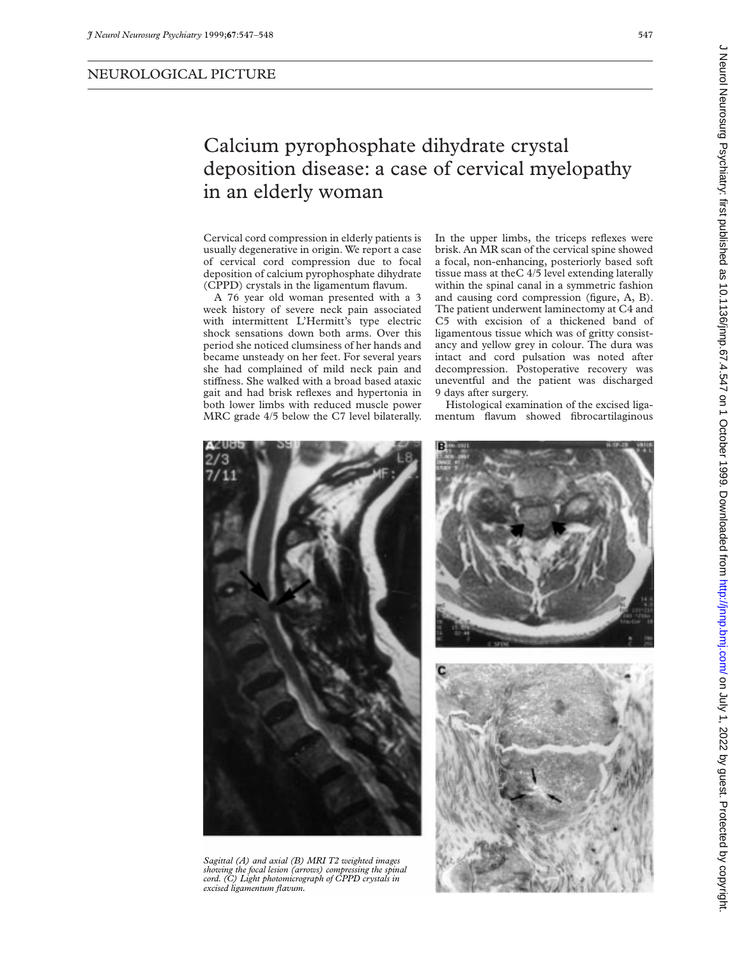## Calcium pyrophosphate dihydrate crystal deposition disease: a case of cervical myelopathy in an elderly woman

Cervical cord compression in elderly patients is usually degenerative in origin. We report a case of cervical cord compression due to focal deposition of calcium pyrophosphate dihydrate (CPPD) crystals in the ligamentum flavum.

A 76 year old woman presented with a 3 week history of severe neck pain associated with intermittent L'Hermitt's type electric shock sensations down both arms. Over this period she noticed clumsiness of her hands and became unsteady on her feet. For several years she had complained of mild neck pain and stiffness. She walked with a broad based ataxic gait and had brisk reflexes and hypertonia in both lower limbs with reduced muscle power MRC grade 4/5 below the C7 level bilaterally.

In the upper limbs, the triceps reflexes were brisk. An MR scan of the cervical spine showed a focal, non-enhancing, posteriorly based soft tissue mass at theC 4/5 level extending laterally within the spinal canal in a symmetric fashion and causing cord compression (figure, A, B). The patient underwent laminectomy at C4 and C5 with excision of a thickened band of ligamentous tissue which was of gritty consistancy and yellow grey in colour. The dura was intact and cord pulsation was noted after decompression. Postoperative recovery was uneventful and the patient was discharged 9 days after surgery.

Histological examination of the excised ligamentum flavum showed fibrocartilaginous



*Sagittal (A) and axial (B) MRI T2 weighted images showing the focal lesion (arrows) compressing the spinal cord. (C) Light photomicrograph of CPPD crystals in excised ligamentum flavum.*